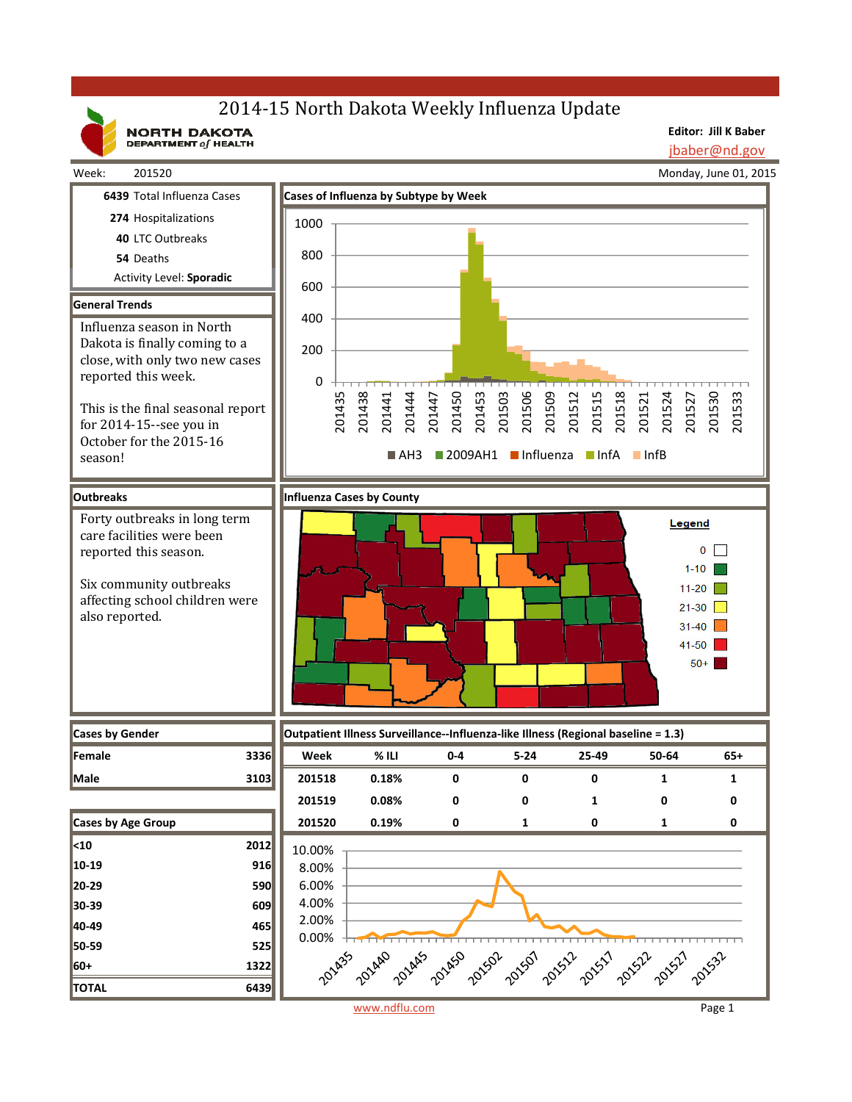# 2014-15 North Dakota Weekly Influenza Update

**NORTH DAKOTA**<br>DEPARTMENT of HEALTH

**Editor: Jill K Baber** jbaber@nd.gov

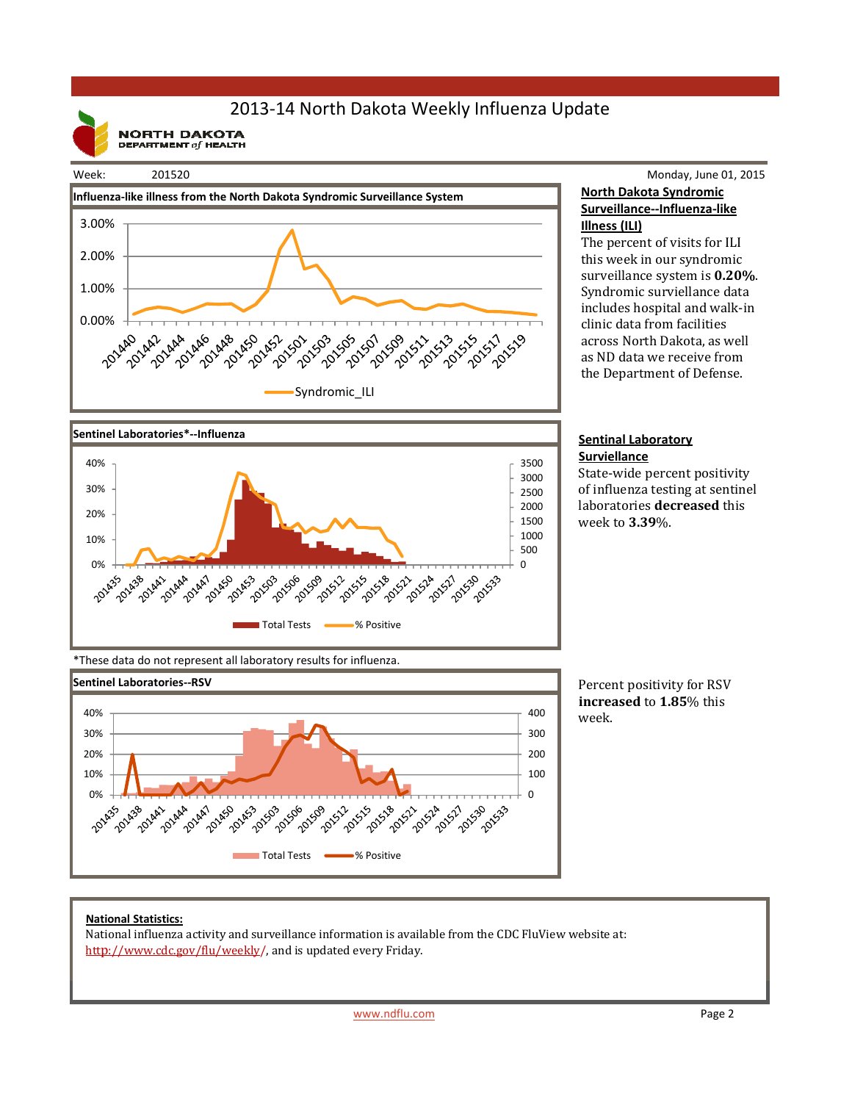# 2013-14 North Dakota Weekly Influenza Update

**NORTH DAKOTA**<br>DEPARTMENT of HEALTH

#### Week: 201520



# Monday, June 01, 2015 **North Dakota Syndromic**

### **Surveillance--Influenza-like Illness (ILI)**

The percent of visits for ILI this week in our syndromic surveillance system is **0.20%**. Syndromic surviellance data includes hospital and walk-in clinic data from facilities across North Dakota, as well as ND data we receive from the Department of Defense.



**Surviellance** State-wide percent positivity of influenza testing at sentinel laboratories **decreased** this week to **3.39**%.



\*These data do not represent all laboratory results for influenza.



Percent positivity for RSV **increased** to **1.85**% this week.

### **National Statistics:**

National influenza activity and surveillance information is available from the CDC FluView website at: http://www.cdc.gov/flu/weekly/, and is updated every Friday.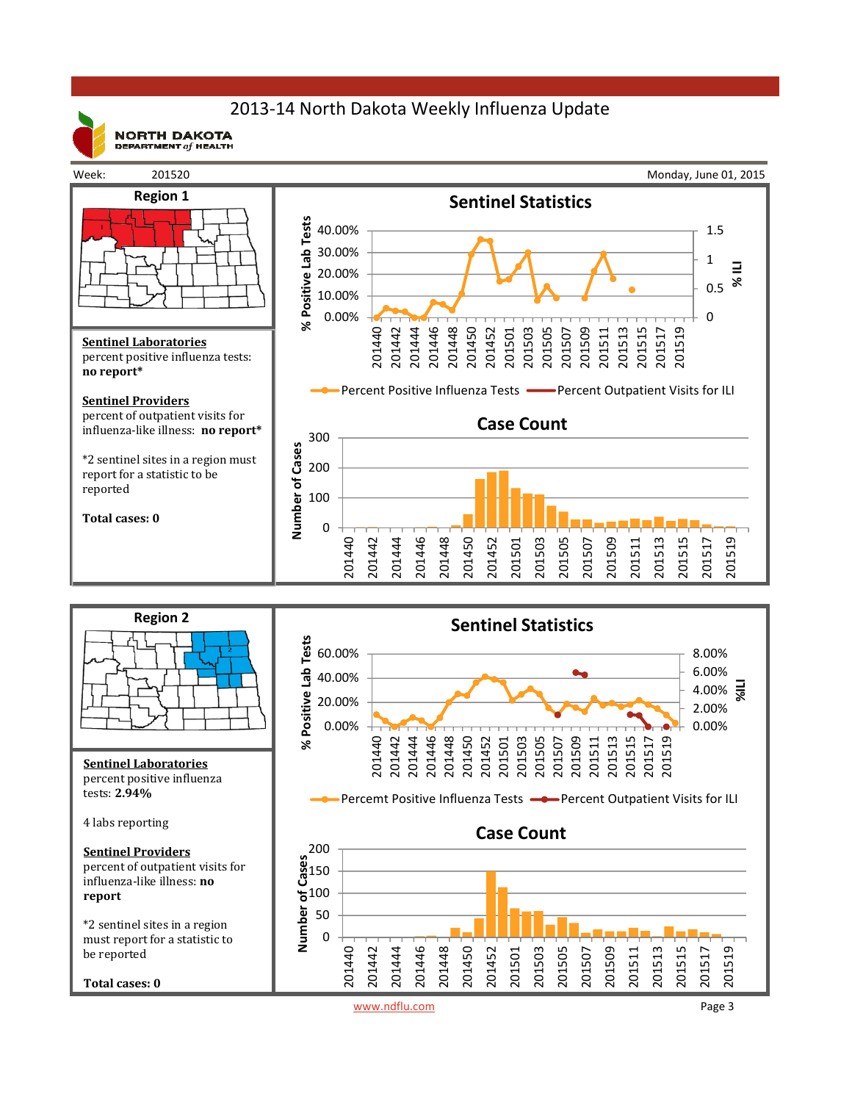# 2013-14 North Dakota Weekly Influenza Update

 $\begin{array}{c} {\bf NORTH} \ {\bf DAKOTA} \\\bf{DEFAATMENT} \ of \ {\bf HELTH} \end{array}$